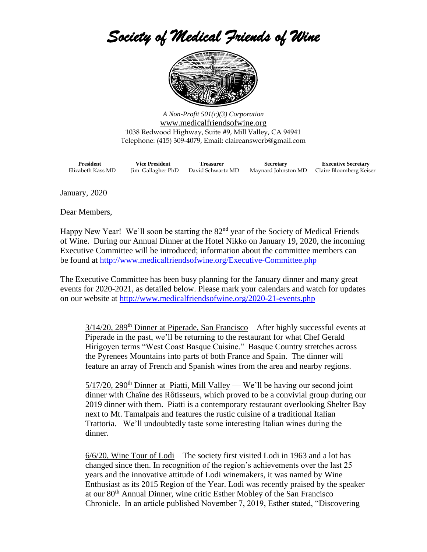## *Society of Medical Friends of Wine*



*A Non-Profit 501(c)(3) Corporation* [www.medicalfriendsofwine.org](http://www.medicalfriendsofwine.org/) 1038 Redwood Highway, Suite #9, Mill Valley, CA 94941 Telephone: (415) 309-4079, Email: claireanswerb@gmail.com

**President Vice President Treasurer Secretary Executive Secretary** Elizabeth Kass MD Jim Gallagher PhD David Schwartz MD Maynard Johnston MD Claire Bloomberg Keiser

January, 2020

Dear Members,

Happy New Year! We'll soon be starting the 82<sup>nd</sup> year of the Society of Medical Friends of Wine. During our Annual Dinner at the Hotel Nikko on January 19, 2020, the incoming Executive Committee will be introduced; information about the committee members can be found at<http://www.medicalfriendsofwine.org/Executive-Committee.php>

The Executive Committee has been busy planning for the January dinner and many great events for 2020-2021, as detailed below. Please mark your calendars and watch for updates on our website at<http://www.medicalfriendsofwine.org/2020-21-events.php>

 $3/14/20$ ,  $289<sup>th</sup>$  Dinner at Piperade, San Francisco – After highly successful events at Piperade in the past, we'll be returning to the restaurant for what Chef Gerald Hirigoyen terms "West Coast Basque Cuisine." Basque Country stretches across the Pyrenees Mountains into parts of both France and Spain. The dinner will feature an array of French and Spanish wines from the area and nearby regions.

 $5/17/20$ ,  $290<sup>th</sup>$  Dinner at Piatti, Mill Valley — We'll be having our second joint dinner with Chaîne des Rôtisseurs, which proved to be a convivial group during our 2019 dinner with them. Piatti is a contemporary restaurant overlooking Shelter Bay next to Mt. Tamalpais and features the rustic cuisine of a traditional Italian Trattoria. We'll undoubtedly taste some interesting Italian wines during the dinner.

6/6/20, Wine Tour of Lodi – The society first visited Lodi in 1963 and a lot has changed since then. In recognition of the region's achievements over the last 25 years and the innovative attitude of Lodi winemakers, it was named by Wine Enthusiast as its 2015 Region of the Year. Lodi was recently praised by the speaker at our 80th Annual Dinner, wine critic Esther Mobley of the San Francisco Chronicle. In an article published November 7, 2019, Esther stated, "Discovering